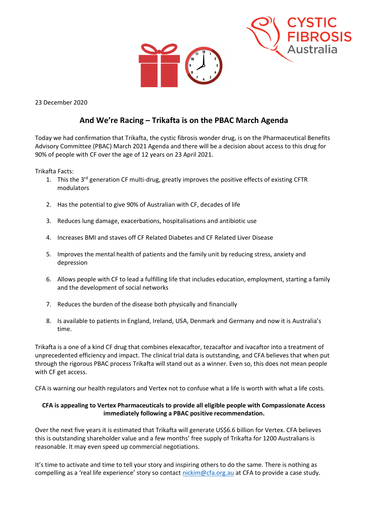

23 December 2020

## **And We're Racing – Trikafta is on the PBAC March Agenda**

Today we had confirmation that Trikafta, the cystic fibrosis wonder drug, is on the Pharmaceutical Benefits Advisory Committee (PBAC) March 2021 Agenda and there will be a decision about access to this drug for 90% of people with CF over the age of 12 years on 23 April 2021.

Trikafta Facts:

- 1. This the 3<sup>rd</sup> generation CF multi-drug, greatly improves the positive effects of existing CFTR modulators
- 2. Has the potential to give 90% of Australian with CF, decades of life
- 3. Reduces lung damage, exacerbations, hospitalisations and antibiotic use
- 4. Increases BMI and staves off CF Related Diabetes and CF Related Liver Disease
- 5. Improves the mental health of patients and the family unit by reducing stress, anxiety and depression
- 6. Allows people with CF to lead a fulfilling life that includes education, employment, starting a family and the development of social networks
- 7. Reduces the burden of the disease both physically and financially
- 8. Is available to patients in England, Ireland, USA, Denmark and Germany and now it is Australia's time.

Trikafta is a one of a kind CF drug that combines elexacaftor, tezacaftor and ivacaftor into a treatment of unprecedented efficiency and impact. The clinical trial data is outstanding, and CFA believes that when put through the rigorous PBAC process Trikafta will stand out as a winner. Even so, this does not mean people with CF get access.

CFA is warning our health regulators and Vertex not to confuse what a life is worth with what a life costs.

## **CFA is appealing to Vertex Pharmaceuticals to provide all eligible people with Compassionate Access immediately following a PBAC positive recommendation.**

Over the next five years it is estimated that Trikafta will generate US\$6.6 billion for Vertex. CFA believes this is outstanding shareholder value and a few months' free supply of Trikafta for 1200 Australians is reasonable. It may even speed up commercial negotiations.

It's time to activate and time to tell your story and inspiring others to do the same. There is nothing as compelling as a 'real life experience' story so contact [nickim@cfa.org.au](mailto:nickim@cfa.org.au) at CFA to provide a case study.